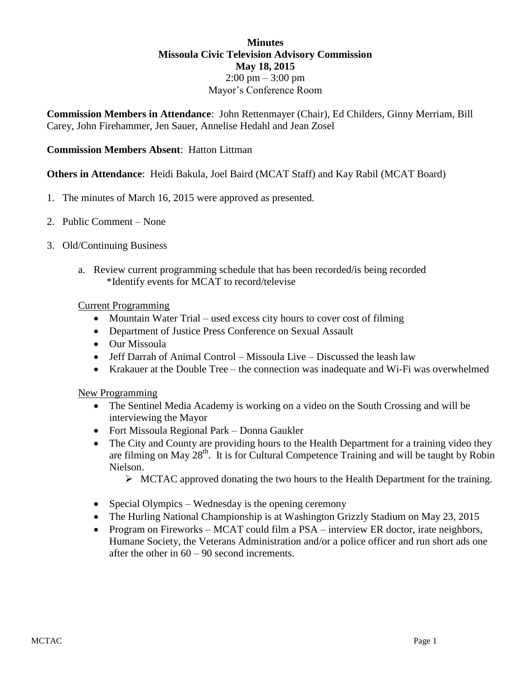### **Minutes Missoula Civic Television Advisory Commission May 18, 2015**  $2:00 \text{ pm} - 3:00 \text{ pm}$ Mayor's Conference Room

**Commission Members in Attendance**: John Rettenmayer (Chair), Ed Childers, Ginny Merriam, Bill Carey, John Firehammer, Jen Sauer, Annelise Hedahl and Jean Zosel

# **Commission Members Absent**: Hatton Littman

### **Others in Attendance**: Heidi Bakula, Joel Baird (MCAT Staff) and Kay Rabil (MCAT Board)

- 1. The minutes of March 16, 2015 were approved as presented.
- 2. Public Comment None
- 3. Old/Continuing Business
	- a. Review current programming schedule that has been recorded/is being recorded \*Identify events for MCAT to record/televise

#### Current Programming

- Mountain Water Trial used excess city hours to cover cost of filming
- Department of Justice Press Conference on Sexual Assault
- Our Missoula
- $\bullet$  Jeff Darrah of Animal Control Missoula Live Discussed the leash law
- Krakauer at the Double Tree the connection was inadequate and Wi-Fi was overwhelmed

New Programming

- The Sentinel Media Academy is working on a video on the South Crossing and will be interviewing the Mayor
- Fort Missoula Regional Park Donna Gaukler
- The City and County are providing hours to the Health Department for a training video they are filming on May  $28<sup>th</sup>$ . It is for Cultural Competence Training and will be taught by Robin Nielson.
	- $\triangleright$  MCTAC approved donating the two hours to the Health Department for the training.
- Special Olympics Wednesday is the opening ceremony
- The Hurling National Championship is at Washington Grizzly Stadium on May 23, 2015
- Program on Fireworks MCAT could film a PSA interview ER doctor, irate neighbors, Humane Society, the Veterans Administration and/or a police officer and run short ads one after the other in  $60 - 90$  second increments.